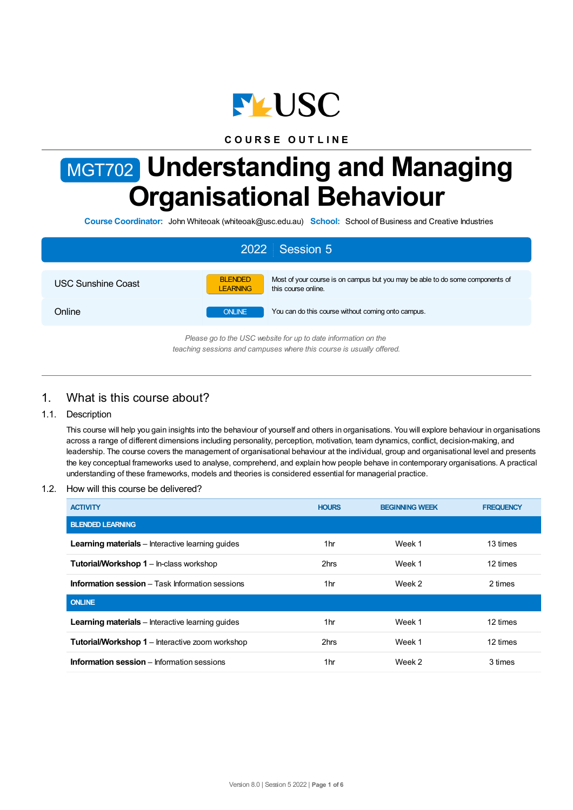

## **C O U R S E O U T L I N E**

# MGT702 **Understanding and Managing Organisational Behaviour**

**Course Coordinator:** John Whiteoak (whiteoak@usc.edu.au) **School:** School of Business and Creative Industries

| 2022 Session 5                                                                                                                         |                                                                                                                                           |  |  |  |
|----------------------------------------------------------------------------------------------------------------------------------------|-------------------------------------------------------------------------------------------------------------------------------------------|--|--|--|
| USC Sunshine Coast                                                                                                                     | <b>BLENDED</b><br>Most of your course is on campus but you may be able to do some components of<br><b>LEARNING</b><br>this course online. |  |  |  |
| Online                                                                                                                                 | You can do this course without coming onto campus.<br><b>ONLINE</b>                                                                       |  |  |  |
| Please go to the USC website for up to date information on the<br>teaching sessions and campuses where this course is usually offered. |                                                                                                                                           |  |  |  |

## 1. What is this course about?

#### 1.1. Description

This course will help you gain insights into the behaviour of yourself and others in organisations. You will explore behaviour in organisations across a range of different dimensions including personality, perception, motivation, team dynamics, conflict, decision-making, and leadership. The course covers the management of organisational behaviour at the individual, group and organisational level and presents the key conceptual frameworks used to analyse, comprehend, and explain how people behave in contemporary organisations. A practical understanding of these frameworks, models and theories is considered essential for managerial practice.

1.2. How will this course be delivered?

| <b>ACTIVITY</b>                                         | <b>HOURS</b> | <b>BEGINNING WEEK</b> | <b>FREQUENCY</b> |
|---------------------------------------------------------|--------------|-----------------------|------------------|
| <b>BLENDED LEARNING</b>                                 |              |                       |                  |
| <b>Learning materials</b> – Interactive learning guides | 1hr          | Week 1                | 13 times         |
| <b>Tutorial/Workshop 1</b> - In-class workshop          | 2hrs         | Week 1                | 12 times         |
| <b>Information session</b> – Task Information sessions  | 1hr          | Week 2                | 2 times          |
| <b>ONLINE</b>                                           |              |                       |                  |
| <b>Learning materials</b> – Interactive learning quides | 1hr          | Week 1                | 12 times         |
| <b>Tutorial/Workshop 1</b> – Interactive zoom workshop  | 2hrs         | Week 1                | 12 times         |
| <b>Information session</b> – Information sessions       | 1hr          | Week 2                | 3 times          |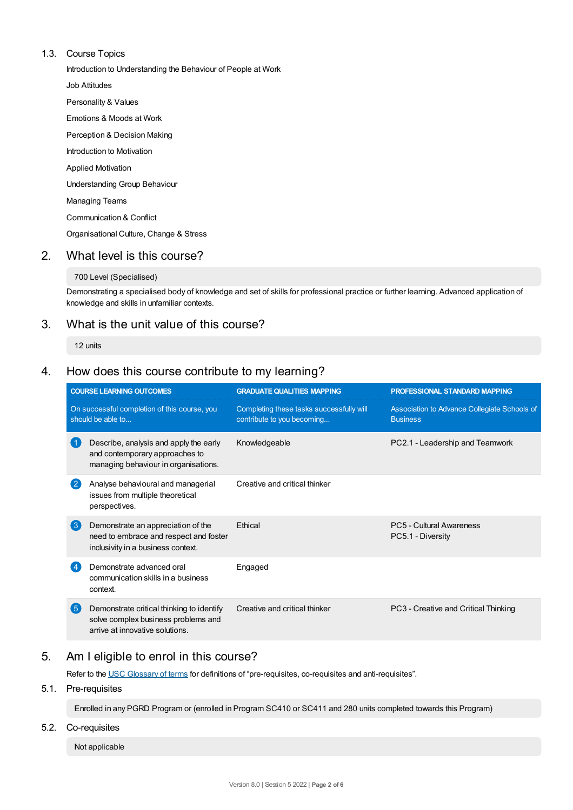#### 1.3. Course Topics

Introduction to Understanding the Behaviour of People at Work

Job Attitudes

Personality & Values

Emotions & Moods at Work

Perception & Decision Making

Introduction to Motivation

Applied Motivation

Understanding Group Behaviour

Managing Teams

Communication & Conflict

Organisational Culture, Change & Stress

## 2. What level is this course?

#### 700 Level (Specialised)

Demonstrating a specialised body of knowledge and set of skills for professional practice or further learning. Advanced application of knowledge and skills in unfamiliar contexts.

## 3. What is the unit value of this course?

12 units

## 4. How does this course contribute to my learning?

|                                                                   | <b>COURSE LEARNING OUTCOMES</b>                                                                                     | <b>GRADUATE QUALITIES MAPPING</b>                                      | <b>PROFESSIONAL STANDARD MAPPING</b>                            |  |
|-------------------------------------------------------------------|---------------------------------------------------------------------------------------------------------------------|------------------------------------------------------------------------|-----------------------------------------------------------------|--|
| On successful completion of this course, you<br>should be able to |                                                                                                                     | Completing these tasks successfully will<br>contribute to you becoming | Association to Advance Collegiate Schools of<br><b>Business</b> |  |
|                                                                   | Describe, analysis and apply the early<br>and contemporary approaches to<br>managing behaviour in organisations.    | Knowledgeable                                                          | PC2.1 - Leadership and Teamwork                                 |  |
| -2                                                                | Analyse behavioural and managerial<br>issues from multiple theoretical<br>perspectives.                             | Creative and critical thinker                                          |                                                                 |  |
| 3                                                                 | Demonstrate an appreciation of the<br>need to embrace and respect and foster<br>inclusivity in a business context.  | Ethical                                                                | PC5 - Cultural Awareness<br>PC5.1 - Diversity                   |  |
|                                                                   | Demonstrate advanced oral<br>communication skills in a business<br>context.                                         | Engaged                                                                |                                                                 |  |
| 5                                                                 | Demonstrate critical thinking to identify<br>solve complex business problems and<br>arrive at innovative solutions. | Creative and critical thinker                                          | PC3 - Creative and Critical Thinking                            |  |

## 5. Am Ieligible to enrol in this course?

Refer to the USC [Glossary](https://www.usc.edu.au/about/policies-and-procedures/glossary-of-terms-for-policy-and-procedures) of terms for definitions of "pre-requisites, co-requisites and anti-requisites".

## 5.1. Pre-requisites

Enrolled in any PGRD Program or (enrolled in Program SC410 or SC411 and 280 units completed towards this Program)

## 5.2. Co-requisites

Not applicable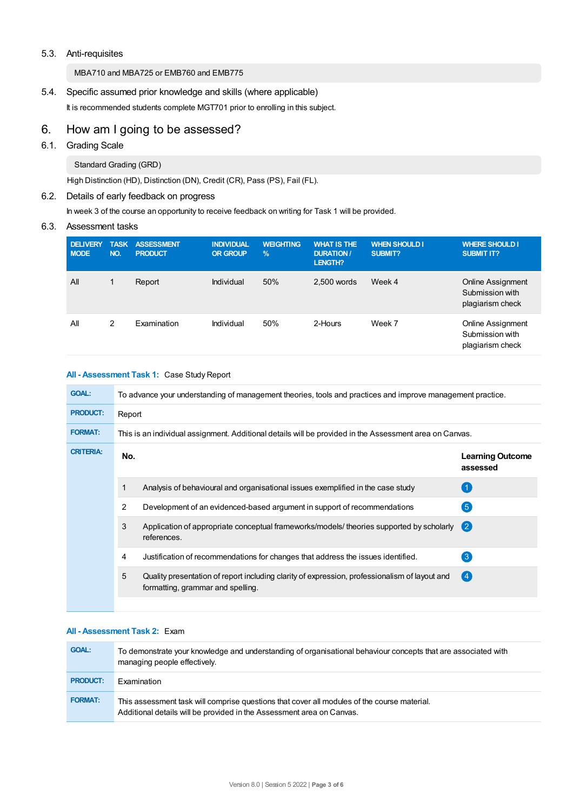#### 5.3. Anti-requisites

MBA710 and MBA725 or EMB760 and EMB775

### 5.4. Specific assumed prior knowledge and skills (where applicable)

It is recommended students complete MGT701 prior to enrolling in this subject.

# 6. How am Igoing to be assessed?

## 6.1. Grading Scale

Standard Grading (GRD)

High Distinction (HD), Distinction (DN), Credit (CR), Pass (PS), Fail (FL).

## 6.2. Details of early feedback on progress

In week 3 of the course an opportunity to receive feedback on writing for Task 1 will be provided.

#### 6.3. Assessment tasks

| <b>DELIVERY</b><br><b>MODE</b> | <b>TASK</b><br>NO. | <b>ASSESSMENT</b><br><b>PRODUCT</b> | <b>INDIVIDUAL</b><br><b>OR GROUP</b> | <b>WEIGHTING</b><br>$\frac{9}{6}$ | <b>WHAT IS THE</b><br><b>DURATION /</b><br>LENGTH? | <b>WHEN SHOULD I</b><br><b>SUBMIT?</b> | <b>WHERE SHOULD I</b><br><b>SUBMIT IT?</b>                      |
|--------------------------------|--------------------|-------------------------------------|--------------------------------------|-----------------------------------|----------------------------------------------------|----------------------------------------|-----------------------------------------------------------------|
| All                            |                    | Report                              | Individual                           | 50%                               | 2,500 words                                        | Week 4                                 | <b>Online Assignment</b><br>Submission with<br>plagiarism check |
| All                            | 2                  | Examination                         | Individual                           | 50%                               | 2-Hours                                            | Week 7                                 | <b>Online Assignment</b><br>Submission with<br>plagiarism check |

#### **All - Assessment Task 1:** Case Study Report

| <b>GOAL:</b>     | To advance your understanding of management theories, tools and practices and improve management practice. |                                                                                                                                    |                                     |  |  |
|------------------|------------------------------------------------------------------------------------------------------------|------------------------------------------------------------------------------------------------------------------------------------|-------------------------------------|--|--|
| <b>PRODUCT:</b>  | Report                                                                                                     |                                                                                                                                    |                                     |  |  |
| <b>FORMAT:</b>   | This is an individual assignment. Additional details will be provided in the Assessment area on Canvas.    |                                                                                                                                    |                                     |  |  |
| <b>CRITERIA:</b> | No.                                                                                                        |                                                                                                                                    | <b>Learning Outcome</b><br>assessed |  |  |
|                  |                                                                                                            | Analysis of behavioural and organisational issues exemplified in the case study                                                    |                                     |  |  |
|                  | 2                                                                                                          | Development of an evidenced-based argument in support of recommendations                                                           | $\boxed{5}$                         |  |  |
|                  | 3                                                                                                          | Application of appropriate conceptual frameworks/models/ theories supported by scholarly<br>references.                            | $\mathbf{C}$                        |  |  |
|                  | 4                                                                                                          | Justification of recommendations for changes that address the issues identified.                                                   | $\left(3\right)$                    |  |  |
|                  | 5                                                                                                          | Quality presentation of report including clarity of expression, professionalism of layout and<br>formatting, grammar and spelling. | (4)                                 |  |  |
|                  |                                                                                                            |                                                                                                                                    |                                     |  |  |

#### **All - Assessment Task 2:** Exam

| <b>GOAL:</b>    | To demonstrate your knowledge and understanding of organisational behaviour concepts that are associated with<br>managing people effectively.                        |
|-----------------|----------------------------------------------------------------------------------------------------------------------------------------------------------------------|
| <b>PRODUCT:</b> | Examination                                                                                                                                                          |
| <b>FORMAT:</b>  | This assessment task will comprise questions that cover all modules of the course material.<br>Additional details will be provided in the Assessment area on Canvas. |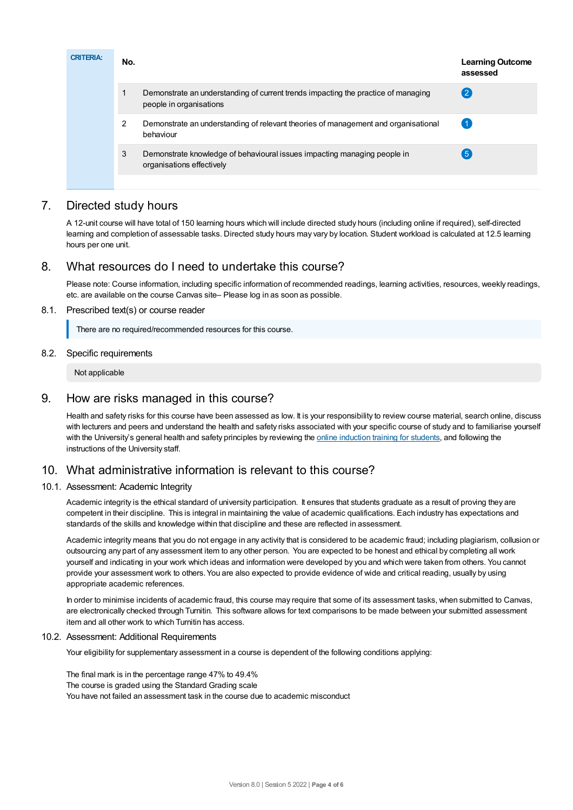| <b>CRITERIA:</b> | No. |                                                                                                              | <b>Learning Outcome</b><br>assessed |
|------------------|-----|--------------------------------------------------------------------------------------------------------------|-------------------------------------|
|                  |     | Demonstrate an understanding of current trends impacting the practice of managing<br>people in organisations |                                     |
|                  | 2   | Demonstrate an understanding of relevant theories of management and organisational<br>behaviour              |                                     |
|                  | 3   | Demonstrate knowledge of behavioural issues impacting managing people in<br>organisations effectively        | 5                                   |
|                  |     |                                                                                                              |                                     |

## 7. Directed study hours

A 12-unit course will have total of 150 learning hours which will include directed study hours (including online if required), self-directed learning and completion of assessable tasks. Directed study hours may vary by location. Student workload is calculated at 12.5 learning hours per one unit.

## 8. What resources do I need to undertake this course?

Please note: Course information, including specific information of recommended readings, learning activities, resources, weekly readings, etc. are available on the course Canvas site– Please log in as soon as possible.

#### 8.1. Prescribed text(s) or course reader

There are no required/recommended resources for this course.

#### 8.2. Specific requirements

Not applicable

## 9. How are risks managed in this course?

Health and safety risks for this course have been assessed as low. It is your responsibility to review course material, search online, discuss with lecturers and peers and understand the health and safety risks associated with your specific course of study and to familiarise yourself with the University's general health and safety principles by reviewing the online [induction](https://online.usc.edu.au/webapps/blackboard/content/listContentEditable.jsp?content_id=_632657_1&course_id=_14432_1) training for students, and following the instructions of the University staff.

## 10. What administrative information is relevant to this course?

#### 10.1. Assessment: Academic Integrity

Academic integrity is the ethical standard of university participation. It ensures that students graduate as a result of proving they are competent in their discipline. This is integral in maintaining the value of academic qualifications. Each industry has expectations and standards of the skills and knowledge within that discipline and these are reflected in assessment.

Academic integrity means that you do not engage in any activity that is considered to be academic fraud; including plagiarism, collusion or outsourcing any part of any assessment item to any other person. You are expected to be honest and ethical by completing all work yourself and indicating in your work which ideas and information were developed by you and which were taken from others. You cannot provide your assessment work to others. You are also expected to provide evidence of wide and critical reading, usually by using appropriate academic references.

In order to minimise incidents of academic fraud, this course may require that some of its assessment tasks, when submitted to Canvas, are electronically checked through Turnitin. This software allows for text comparisons to be made between your submitted assessment item and all other work to which Turnitin has access.

#### 10.2. Assessment: Additional Requirements

Your eligibility for supplementary assessment in a course is dependent of the following conditions applying:

The final mark is in the percentage range 47% to 49.4% The course is graded using the Standard Grading scale You have not failed an assessment task in the course due to academic misconduct